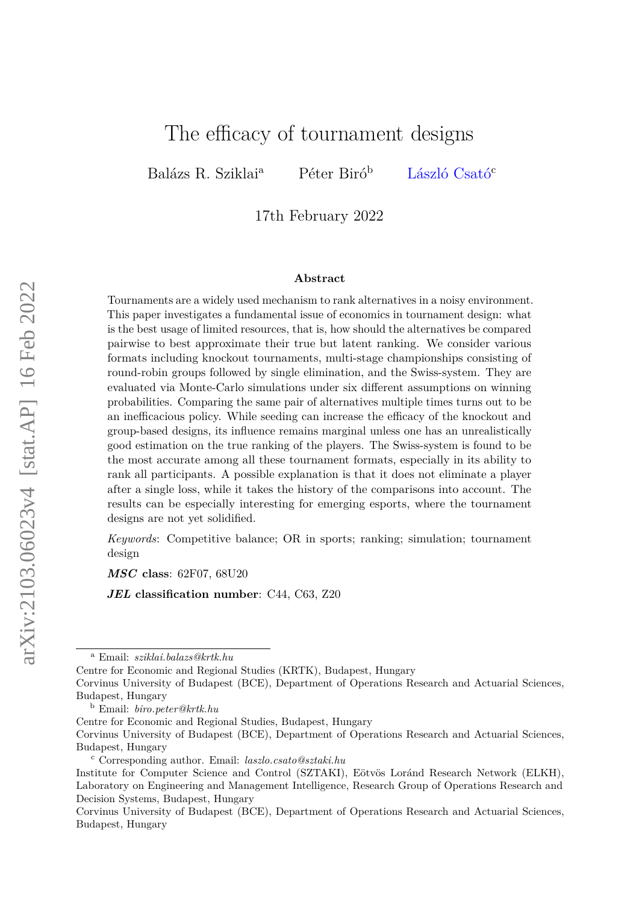# The efficacy of tournament designs

Balázs R. Sziklai<sup>a</sup> Péter Biró<sup>b</sup> [László Csató](https://sites.google.com/view/laszlocsato)<sup>c</sup>

17th February 2022

#### **Abstract**

Tournaments are a widely used mechanism to rank alternatives in a noisy environment. This paper investigates a fundamental issue of economics in tournament design: what is the best usage of limited resources, that is, how should the alternatives be compared pairwise to best approximate their true but latent ranking. We consider various formats including knockout tournaments, multi-stage championships consisting of round-robin groups followed by single elimination, and the Swiss-system. They are evaluated via Monte-Carlo simulations under six different assumptions on winning probabilities. Comparing the same pair of alternatives multiple times turns out to be an inefficacious policy. While seeding can increase the efficacy of the knockout and group-based designs, its influence remains marginal unless one has an unrealistically good estimation on the true ranking of the players. The Swiss-system is found to be the most accurate among all these tournament formats, especially in its ability to rank all participants. A possible explanation is that it does not eliminate a player after a single loss, while it takes the history of the comparisons into account. The results can be especially interesting for emerging esports, where the tournament designs are not yet solidified.

*Keywords*: Competitive balance; OR in sports; ranking; simulation; tournament design

*MSC* **class**: 62F07, 68U20

*JEL* **classification number**: C44, C63, Z20

Centre for Economic and Regional Studies (KRTK), Budapest, Hungary

<sup>a</sup> Email: *sziklai.balazs@krtk.hu*

Corvinus University of Budapest (BCE), Department of Operations Research and Actuarial Sciences, Budapest, Hungary

<sup>b</sup> Email: *biro.peter@krtk.hu*

Centre for Economic and Regional Studies, Budapest, Hungary

Corvinus University of Budapest (BCE), Department of Operations Research and Actuarial Sciences, Budapest, Hungary

<sup>c</sup> Corresponding author. Email: *laszlo.csato@sztaki.hu*

Institute for Computer Science and Control (SZTAKI), Eötvös Loránd Research Network (ELKH), Laboratory on Engineering and Management Intelligence, Research Group of Operations Research and Decision Systems, Budapest, Hungary

Corvinus University of Budapest (BCE), Department of Operations Research and Actuarial Sciences, Budapest, Hungary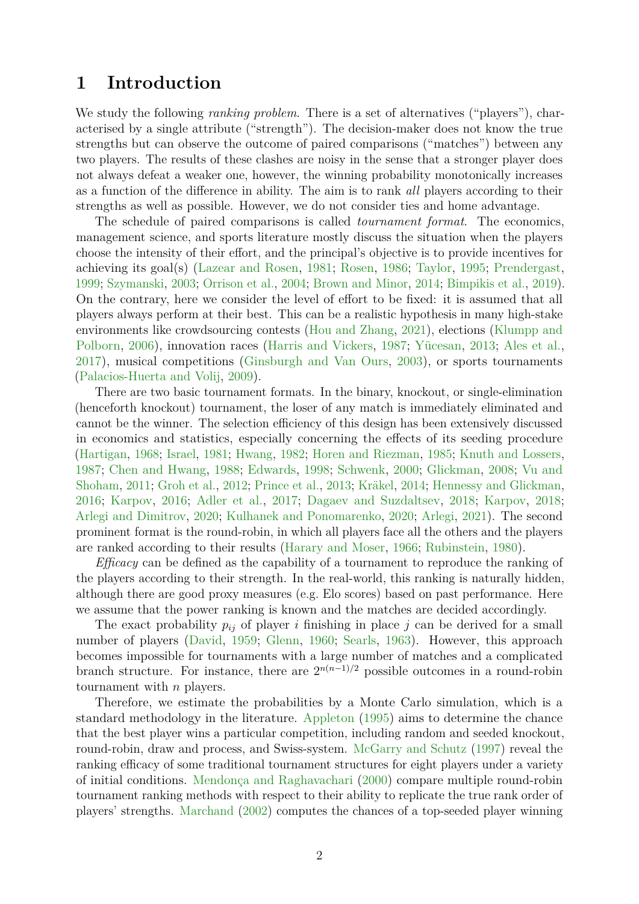### **1 Introduction**

We study the following *ranking problem*. There is a set of alternatives ("players"), characterised by a single attribute ("strength"). The decision-maker does not know the true strengths but can observe the outcome of paired comparisons ("matches") between any two players. The results of these clashes are noisy in the sense that a stronger player does not always defeat a weaker one, however, the winning probability monotonically increases as a function of the difference in ability. The aim is to rank *all* players according to their strengths as well as possible. However, we do not consider ties and home advantage.

The schedule of paired comparisons is called *tournament format*. The economics, management science, and sports literature mostly discuss the situation when the players choose the intensity of their effort, and the principal's objective is to provide incentives for achieving its goal(s) [\(Lazear and Rosen,](#page-22-0) [1981;](#page-22-0) [Rosen,](#page-23-0) [1986;](#page-23-0) [Taylor,](#page-23-1) [1995;](#page-23-1) [Prendergast,](#page-23-2) [1999;](#page-23-2) [Szymanski,](#page-23-3) [2003;](#page-23-3) [Orrison et al.,](#page-22-1) [2004;](#page-22-1) [Brown and Minor,](#page-19-0) [2014;](#page-19-0) [Bimpikis et al.,](#page-19-1) [2019\)](#page-19-1). On the contrary, here we consider the level of effort to be fixed: it is assumed that all players always perform at their best. This can be a realistic hypothesis in many high-stake environments like crowdsourcing contests [\(Hou and Zhang,](#page-21-0) [2021\)](#page-21-0), elections [\(Klumpp and](#page-22-2) [Polborn,](#page-22-2) [2006\)](#page-22-2), innovation races [\(Harris and Vickers,](#page-21-1) [1987;](#page-21-1) [Yücesan,](#page-24-0) [2013;](#page-24-0) [Ales et al.,](#page-19-2) [2017\)](#page-19-2), musical competitions [\(Ginsburgh and Van Ours,](#page-21-2) [2003\)](#page-21-2), or sports tournaments [\(Palacios-Huerta and Volij,](#page-23-4) [2009\)](#page-23-4).

There are two basic tournament formats. In the binary, knockout, or single-elimination (henceforth knockout) tournament, the loser of any match is immediately eliminated and cannot be the winner. The selection efficiency of this design has been extensively discussed in economics and statistics, especially concerning the effects of its seeding procedure [\(Hartigan,](#page-21-3) [1968;](#page-21-3) [Israel,](#page-21-4) [1981;](#page-21-4) [Hwang,](#page-21-5) [1982;](#page-21-5) [Horen and Riezman,](#page-21-6) [1985;](#page-21-6) [Knuth and Lossers,](#page-22-3) [1987;](#page-22-3) [Chen and Hwang,](#page-20-0) [1988;](#page-20-0) [Edwards,](#page-20-1) [1998;](#page-20-1) [Schwenk,](#page-23-5) [2000;](#page-23-5) [Glickman,](#page-21-7) [2008;](#page-21-7) [Vu and](#page-24-1) [Shoham,](#page-24-1) [2011;](#page-24-1) [Groh et al.,](#page-21-8) [2012;](#page-21-8) [Prince et al.,](#page-23-6) [2013;](#page-23-6) [Kräkel,](#page-22-4) [2014;](#page-22-4) [Hennessy and Glickman,](#page-21-9) [2016;](#page-21-9) [Karpov,](#page-22-5) [2016;](#page-22-5) [Adler et al.,](#page-19-3) [2017;](#page-19-3) [Dagaev and Suzdaltsev,](#page-20-2) [2018;](#page-20-2) [Karpov,](#page-22-6) [2018;](#page-22-6) [Arlegi and Dimitrov,](#page-19-4) [2020;](#page-19-4) [Kulhanek and Ponomarenko,](#page-22-7) [2020;](#page-22-7) [Arlegi,](#page-19-5) [2021\)](#page-19-5). The second prominent format is the round-robin, in which all players face all the others and the players are ranked according to their results [\(Harary and Moser,](#page-21-10) [1966;](#page-21-10) [Rubinstein,](#page-23-7) [1980\)](#page-23-7).

*Efficacy* can be defined as the capability of a tournament to reproduce the ranking of the players according to their strength. In the real-world, this ranking is naturally hidden, although there are good proxy measures (e.g. Elo scores) based on past performance. Here we assume that the power ranking is known and the matches are decided accordingly.

The exact probability  $p_{ij}$  of player *i* finishing in place *j* can be derived for a small number of players [\(David,](#page-20-3) [1959;](#page-20-3) [Glenn,](#page-21-11) [1960;](#page-21-11) [Searls,](#page-23-8) [1963\)](#page-23-8). However, this approach becomes impossible for tournaments with a large number of matches and a complicated branch structure. For instance, there are  $2^{n(n-1)/2}$  possible outcomes in a round-robin tournament with  $n$  players.

Therefore, we estimate the probabilities by a Monte Carlo simulation, which is a standard methodology in the literature. [Appleton](#page-19-6) [\(1995\)](#page-19-6) aims to determine the chance that the best player wins a particular competition, including random and seeded knockout, round-robin, draw and process, and Swiss-system. [McGarry and Schutz](#page-22-8) [\(1997\)](#page-22-8) reveal the ranking efficacy of some traditional tournament structures for eight players under a variety of initial conditions. [Mendonça and Raghavachari](#page-22-9) [\(2000\)](#page-22-9) compare multiple round-robin tournament ranking methods with respect to their ability to replicate the true rank order of players' strengths. [Marchand](#page-22-10) [\(2002\)](#page-22-10) computes the chances of a top-seeded player winning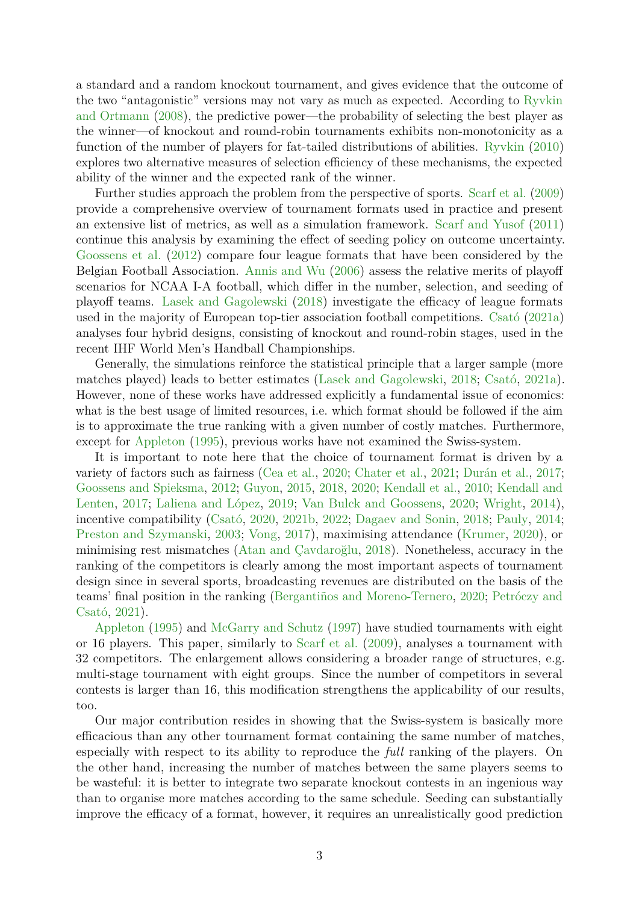a standard and a random knockout tournament, and gives evidence that the outcome of the two "antagonistic" versions may not vary as much as expected. According to [Ryvkin](#page-23-9) [and Ortmann](#page-23-9) [\(2008\)](#page-23-9), the predictive power—the probability of selecting the best player as the winner—of knockout and round-robin tournaments exhibits non-monotonicity as a function of the number of players for fat-tailed distributions of abilities. [Ryvkin](#page-23-10) [\(2010\)](#page-23-10) explores two alternative measures of selection efficiency of these mechanisms, the expected ability of the winner and the expected rank of the winner.

Further studies approach the problem from the perspective of sports. [Scarf et al.](#page-23-11) [\(2009\)](#page-23-11) provide a comprehensive overview of tournament formats used in practice and present an extensive list of metrics, as well as a simulation framework. [Scarf and Yusof](#page-23-12) [\(2011\)](#page-23-12) continue this analysis by examining the effect of seeding policy on outcome uncertainty. [Goossens et al.](#page-21-12) [\(2012\)](#page-21-12) compare four league formats that have been considered by the Belgian Football Association. [Annis and Wu](#page-19-7) [\(2006\)](#page-19-7) assess the relative merits of playoff scenarios for NCAA I-A football, which differ in the number, selection, and seeding of playoff teams. [Lasek and Gagolewski](#page-22-11) [\(2018\)](#page-22-11) investigate the efficacy of league formats used in the majority of European top-tier association football competitions. [Csató](#page-20-4) [\(2021a\)](#page-20-4) analyses four hybrid designs, consisting of knockout and round-robin stages, used in the recent IHF World Men's Handball Championships.

Generally, the simulations reinforce the statistical principle that a larger sample (more matches played) leads to better estimates [\(Lasek and Gagolewski,](#page-22-11) [2018;](#page-22-11) [Csató,](#page-20-4) [2021a\)](#page-20-4). However, none of these works have addressed explicitly a fundamental issue of economics: what is the best usage of limited resources, i.e. which format should be followed if the aim is to approximate the true ranking with a given number of costly matches. Furthermore, except for [Appleton](#page-19-6) [\(1995\)](#page-19-6), previous works have not examined the Swiss-system.

It is important to note here that the choice of tournament format is driven by a variety of factors such as fairness [\(Cea et al.,](#page-19-8) [2020;](#page-19-8) [Chater et al.,](#page-20-5) [2021;](#page-20-5) [Durán et al.,](#page-20-6) [2017;](#page-20-6) [Goossens and Spieksma,](#page-21-13) [2012;](#page-21-13) [Guyon,](#page-21-14) [2015,](#page-21-14) [2018,](#page-21-15) [2020;](#page-21-16) [Kendall et al.,](#page-22-12) [2010;](#page-22-12) [Kendall and](#page-22-13) [Lenten,](#page-22-13) [2017;](#page-22-13) [Laliena and López,](#page-22-14) [2019;](#page-22-14) [Van Bulck and Goossens,](#page-24-2) [2020;](#page-24-2) [Wright,](#page-24-3) [2014\)](#page-24-3), incentive compatibility [\(Csató,](#page-20-7) [2020,](#page-20-7) [2021b,](#page-20-8) [2022;](#page-20-9) [Dagaev and Sonin,](#page-20-10) [2018;](#page-20-10) [Pauly,](#page-23-13) [2014;](#page-23-13) [Preston and Szymanski,](#page-23-14) [2003;](#page-23-14) [Vong,](#page-24-4) [2017\)](#page-24-4), maximising attendance [\(Krumer,](#page-22-15) [2020\)](#page-22-15), or minimising rest mismatches [\(Atan and Çavdaroğlu,](#page-19-9) [2018\)](#page-19-9). Nonetheless, accuracy in the ranking of the competitors is clearly among the most important aspects of tournament design since in several sports, broadcasting revenues are distributed on the basis of the teams' final position in the ranking [\(Bergantiños and Moreno-Ternero,](#page-19-10) [2020;](#page-19-10) [Petróczy and](#page-23-15) [Csató,](#page-23-15) [2021\)](#page-23-15).

[Appleton](#page-19-6) [\(1995\)](#page-19-6) and [McGarry and Schutz](#page-22-8) [\(1997\)](#page-22-8) have studied tournaments with eight or 16 players. This paper, similarly to [Scarf et al.](#page-23-11) [\(2009\)](#page-23-11), analyses a tournament with 32 competitors. The enlargement allows considering a broader range of structures, e.g. multi-stage tournament with eight groups. Since the number of competitors in several contests is larger than 16, this modification strengthens the applicability of our results, too.

Our major contribution resides in showing that the Swiss-system is basically more efficacious than any other tournament format containing the same number of matches, especially with respect to its ability to reproduce the *full* ranking of the players. On the other hand, increasing the number of matches between the same players seems to be wasteful: it is better to integrate two separate knockout contests in an ingenious way than to organise more matches according to the same schedule. Seeding can substantially improve the efficacy of a format, however, it requires an unrealistically good prediction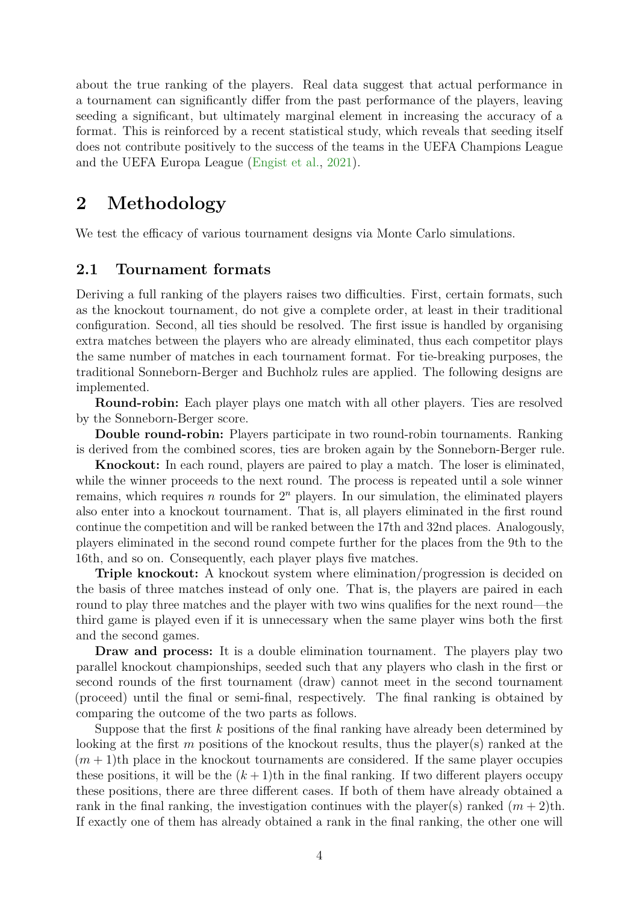about the true ranking of the players. Real data suggest that actual performance in a tournament can significantly differ from the past performance of the players, leaving seeding a significant, but ultimately marginal element in increasing the accuracy of a format. This is reinforced by a recent statistical study, which reveals that seeding itself does not contribute positively to the success of the teams in the UEFA Champions League and the UEFA Europa League [\(Engist et al.,](#page-20-11) [2021\)](#page-20-11).

### **2 Methodology**

We test the efficacy of various tournament designs via Monte Carlo simulations.

### **2.1 Tournament formats**

Deriving a full ranking of the players raises two difficulties. First, certain formats, such as the knockout tournament, do not give a complete order, at least in their traditional configuration. Second, all ties should be resolved. The first issue is handled by organising extra matches between the players who are already eliminated, thus each competitor plays the same number of matches in each tournament format. For tie-breaking purposes, the traditional Sonneborn-Berger and Buchholz rules are applied. The following designs are implemented.

**Round-robin:** Each player plays one match with all other players. Ties are resolved by the Sonneborn-Berger score.

**Double round-robin:** Players participate in two round-robin tournaments. Ranking is derived from the combined scores, ties are broken again by the Sonneborn-Berger rule.

**Knockout:** In each round, players are paired to play a match. The loser is eliminated, while the winner proceeds to the next round. The process is repeated until a sole winner remains, which requires  $n$  rounds for  $2^n$  players. In our simulation, the eliminated players also enter into a knockout tournament. That is, all players eliminated in the first round continue the competition and will be ranked between the 17th and 32nd places. Analogously, players eliminated in the second round compete further for the places from the 9th to the 16th, and so on. Consequently, each player plays five matches.

**Triple knockout:** A knockout system where elimination/progression is decided on the basis of three matches instead of only one. That is, the players are paired in each round to play three matches and the player with two wins qualifies for the next round—the third game is played even if it is unnecessary when the same player wins both the first and the second games.

**Draw and process:** It is a double elimination tournament. The players play two parallel knockout championships, seeded such that any players who clash in the first or second rounds of the first tournament (draw) cannot meet in the second tournament (proceed) until the final or semi-final, respectively. The final ranking is obtained by comparing the outcome of the two parts as follows.

Suppose that the first  $k$  positions of the final ranking have already been determined by looking at the first  $m$  positions of the knockout results, thus the player(s) ranked at the  $(m+1)$ th place in the knockout tournaments are considered. If the same player occupies these positions, it will be the  $(k+1)$ th in the final ranking. If two different players occupy these positions, there are three different cases. If both of them have already obtained a rank in the final ranking, the investigation continues with the player(s) ranked  $(m+2)$ th. If exactly one of them has already obtained a rank in the final ranking, the other one will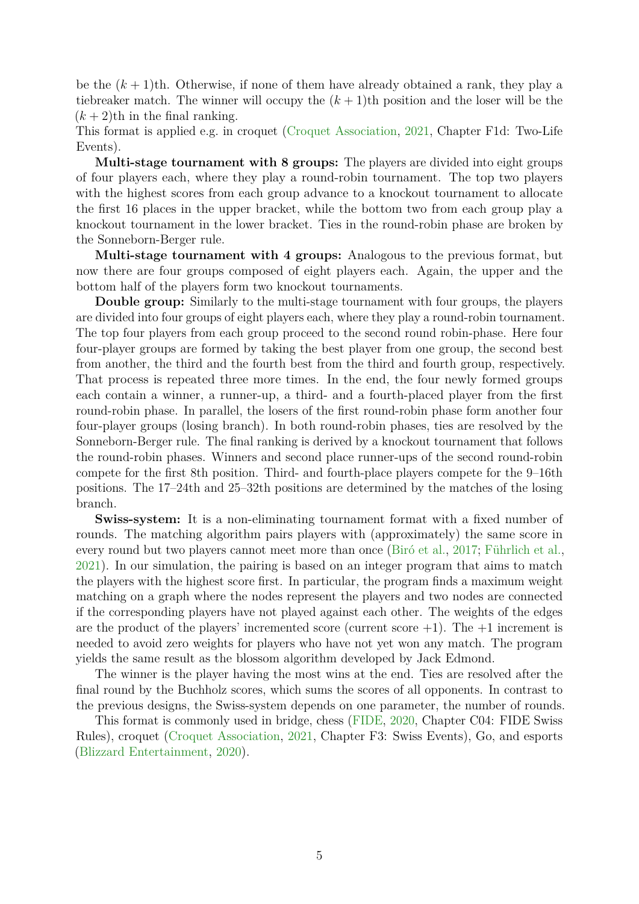be the  $(k+1)$ th. Otherwise, if none of them have already obtained a rank, they play a tiebreaker match. The winner will occupy the  $(k+1)$ th position and the loser will be the  $(k+2)$ th in the final ranking.

This format is applied e.g. in croquet [\(Croquet Association,](#page-20-12) [2021,](#page-20-12) Chapter F1d: Two-Life Events).

**Multi-stage tournament with 8 groups:** The players are divided into eight groups of four players each, where they play a round-robin tournament. The top two players with the highest scores from each group advance to a knockout tournament to allocate the first 16 places in the upper bracket, while the bottom two from each group play a knockout tournament in the lower bracket. Ties in the round-robin phase are broken by the Sonneborn-Berger rule.

**Multi-stage tournament with 4 groups:** Analogous to the previous format, but now there are four groups composed of eight players each. Again, the upper and the bottom half of the players form two knockout tournaments.

**Double group:** Similarly to the multi-stage tournament with four groups, the players are divided into four groups of eight players each, where they play a round-robin tournament. The top four players from each group proceed to the second round robin-phase. Here four four-player groups are formed by taking the best player from one group, the second best from another, the third and the fourth best from the third and fourth group, respectively. That process is repeated three more times. In the end, the four newly formed groups each contain a winner, a runner-up, a third- and a fourth-placed player from the first round-robin phase. In parallel, the losers of the first round-robin phase form another four four-player groups (losing branch). In both round-robin phases, ties are resolved by the Sonneborn-Berger rule. The final ranking is derived by a knockout tournament that follows the round-robin phases. Winners and second place runner-ups of the second round-robin compete for the first 8th position. Third- and fourth-place players compete for the 9–16th positions. The 17–24th and 25–32th positions are determined by the matches of the losing branch.

**Swiss-system:** It is a non-eliminating tournament format with a fixed number of rounds. The matching algorithm pairs players with (approximately) the same score in every round but two players cannot meet more than once [\(Biró et al.,](#page-19-11) [2017;](#page-19-11) [Führlich et al.,](#page-21-17) [2021\)](#page-21-17). In our simulation, the pairing is based on an integer program that aims to match the players with the highest score first. In particular, the program finds a maximum weight matching on a graph where the nodes represent the players and two nodes are connected if the corresponding players have not played against each other. The weights of the edges are the product of the players' incremented score (current score  $+1$ ). The  $+1$  increment is needed to avoid zero weights for players who have not yet won any match. The program yields the same result as the blossom algorithm developed by Jack Edmond.

The winner is the player having the most wins at the end. Ties are resolved after the final round by the Buchholz scores, which sums the scores of all opponents. In contrast to the previous designs, the Swiss-system depends on one parameter, the number of rounds.

This format is commonly used in bridge, chess [\(FIDE,](#page-20-13) [2020,](#page-20-13) Chapter C04: FIDE Swiss Rules), croquet [\(Croquet Association,](#page-20-12) [2021,](#page-20-12) Chapter F3: Swiss Events), Go, and esports [\(Blizzard Entertainment,](#page-19-12) [2020\)](#page-19-12).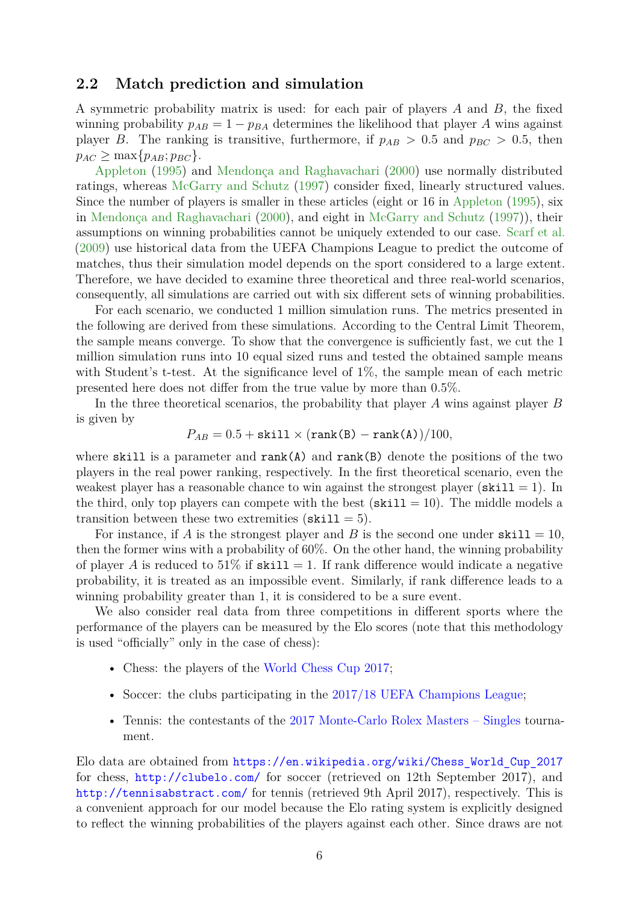#### **2.2 Match prediction and simulation**

A symmetric probability matrix is used: for each pair of players  $A$  and  $B$ , the fixed winning probability  $p_{AB} = 1 - p_{BA}$  determines the likelihood that player A wins against player B. The ranking is transitive, furthermore, if  $p_{AB} > 0.5$  and  $p_{BC} > 0.5$ , then  $p_{AC} > \max\{p_{AB}; p_{BC}\}.$ 

[Appleton](#page-19-6) [\(1995\)](#page-19-6) and [Mendonça and Raghavachari](#page-22-9) [\(2000\)](#page-22-9) use normally distributed ratings, whereas [McGarry and Schutz](#page-22-8) [\(1997\)](#page-22-8) consider fixed, linearly structured values. Since the number of players is smaller in these articles (eight or 16 in [Appleton](#page-19-6) [\(1995\)](#page-19-6), six in [Mendonça and Raghavachari](#page-22-9) [\(2000\)](#page-22-9), and eight in [McGarry and Schutz](#page-22-8) [\(1997\)](#page-22-8)), their assumptions on winning probabilities cannot be uniquely extended to our case. [Scarf et al.](#page-23-11) [\(2009\)](#page-23-11) use historical data from the UEFA Champions League to predict the outcome of matches, thus their simulation model depends on the sport considered to a large extent. Therefore, we have decided to examine three theoretical and three real-world scenarios, consequently, all simulations are carried out with six different sets of winning probabilities.

For each scenario, we conducted 1 million simulation runs. The metrics presented in the following are derived from these simulations. According to the Central Limit Theorem, the sample means converge. To show that the convergence is sufficiently fast, we cut the 1 million simulation runs into 10 equal sized runs and tested the obtained sample means with Student's t-test. At the significance level of 1%, the sample mean of each metric presented here does not differ from the true value by more than 0*.*5%.

In the three theoretical scenarios, the probability that player  $A$  wins against player  $B$ is given by

$$
P_{AB} = 0.5 + \text{skill} \times (\text{rank(B)} - \text{rank(A)})/100,
$$

where skill is a parameter and  $rank(A)$  and  $rank(B)$  denote the positions of the two players in the real power ranking, respectively. In the first theoretical scenario, even the weakest player has a reasonable chance to win against the strongest player ( $\text{skill} = 1$ ). In the third, only top players can compete with the best  $(\text{skill} = 10)$ . The middle models a transition between these two extremities ( $\text{skill} = 5$ ).

For instance, if A is the strongest player and B is the second one under  $\text{skill} = 10$ , then the former wins with a probability of 60%. On the other hand, the winning probability of player A is reduced to 51% if  $\text{skill} = 1$ . If rank difference would indicate a negative probability, it is treated as an impossible event. Similarly, if rank difference leads to a winning probability greater than 1, it is considered to be a sure event.

We also consider real data from three competitions in different sports where the performance of the players can be measured by the Elo scores (note that this methodology is used "officially" only in the case of chess):

- Chess: the players of the [World Chess Cup 2017;](https://en.wikipedia.org/wiki/Chess_World_Cup_2017)
- Soccer: the clubs participating in the [2017/18 UEFA Champions League;](https://en.wikipedia.org/wiki/2017%E2%80%9318_UEFA_Champions_League)
- Tennis: the contestants of the [2017 Monte-Carlo Rolex Masters Singles](https://en.wikipedia.org/wiki/2017_Monte-Carlo_Rolex_Masters_%E2%80%93_Singles) tournament.

Elo data are obtained from [https://en.wikipedia.org/wiki/Chess\\_World\\_Cup\\_2017](https://en.wikipedia.org/wiki/Chess_World_Cup_2017) for chess, <http://clubelo.com/> for soccer (retrieved on 12th September 2017), and <http://tennisabstract.com/> for tennis (retrieved 9th April 2017), respectively. This is a convenient approach for our model because the Elo rating system is explicitly designed to reflect the winning probabilities of the players against each other. Since draws are not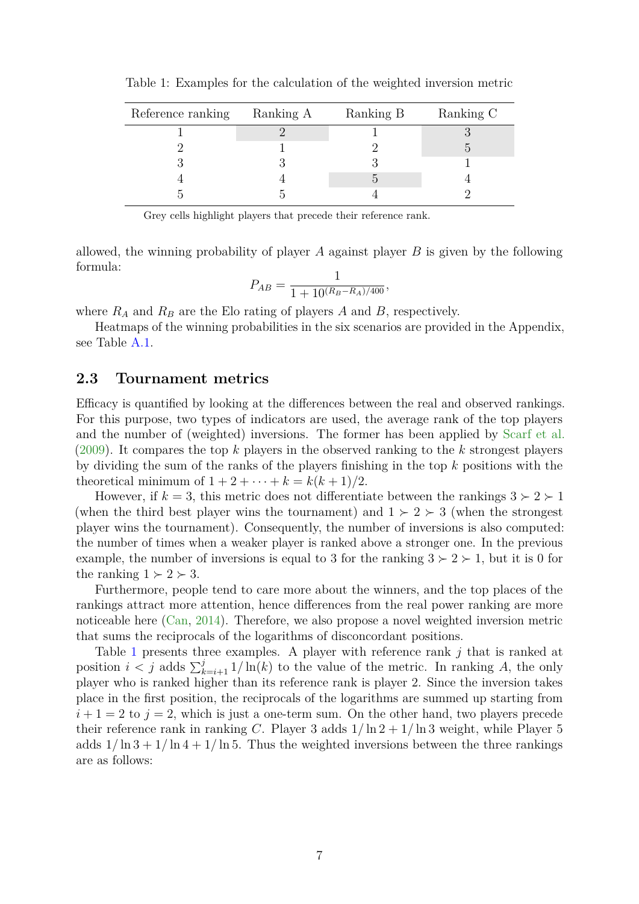| Reference ranking | Ranking A | Ranking B | Ranking C |
|-------------------|-----------|-----------|-----------|
|                   |           |           |           |
|                   |           |           |           |
|                   |           |           |           |
|                   |           |           |           |
|                   |           |           |           |

<span id="page-6-0"></span>Table 1: Examples for the calculation of the weighted inversion metric

Grey cells highlight players that precede their reference rank.

allowed, the winning probability of player  $A$  against player  $B$  is given by the following formula:

$$
P_{AB} = \frac{1}{1 + 10^{(R_B - R_A)/400}},
$$

where  $R_A$  and  $R_B$  are the Elo rating of players A and B, respectively.

Heatmaps of the winning probabilities in the six scenarios are provided in the Appendix, see Table [A.1.](#page-25-0)

#### **2.3 Tournament metrics**

Efficacy is quantified by looking at the differences between the real and observed rankings. For this purpose, two types of indicators are used, the average rank of the top players and the number of (weighted) inversions. The former has been applied by [Scarf et al.](#page-23-11) [\(2009\)](#page-23-11). It compares the top k players in the observed ranking to the k strongest players by dividing the sum of the ranks of the players finishing in the top  $k$  positions with the theoretical minimum of  $1 + 2 + \cdots + k = k(k + 1)/2$ .

However, if  $k = 3$ , this metric does not differentiate between the rankings  $3 \succ 2 \succ 1$ (when the third best player wins the tournament) and  $1 \succ 2 \succ 3$  (when the strongest player wins the tournament). Consequently, the number of inversions is also computed: the number of times when a weaker player is ranked above a stronger one. In the previous example, the number of inversions is equal to 3 for the ranking  $3 \succ 2 \succ 1$ , but it is 0 for the ranking  $1 \succ 2 \succ 3$ .

Furthermore, people tend to care more about the winners, and the top places of the rankings attract more attention, hence differences from the real power ranking are more noticeable here [\(Can,](#page-19-13) [2014\)](#page-19-13). Therefore, we also propose a novel weighted inversion metric that sums the reciprocals of the logarithms of disconcordant positions.

Table [1](#page-6-0) presents three examples. A player with reference rank  $j$  that is ranked at position  $i < j$  adds  $\sum_{k=i+1}^{j} 1/\ln(k)$  to the value of the metric. In ranking A, the only player who is ranked higher than its reference rank is player 2. Since the inversion takes place in the first position, the reciprocals of the logarithms are summed up starting from  $i+1=2$  to  $j=2$ , which is just a one-term sum. On the other hand, two players precede their reference rank in ranking C. Player 3 adds  $1/\ln 2 + 1/\ln 3$  weight, while Player 5 adds  $1/\ln 3 + 1/\ln 4 + 1/\ln 5$ . Thus the weighted inversions between the three rankings are as follows: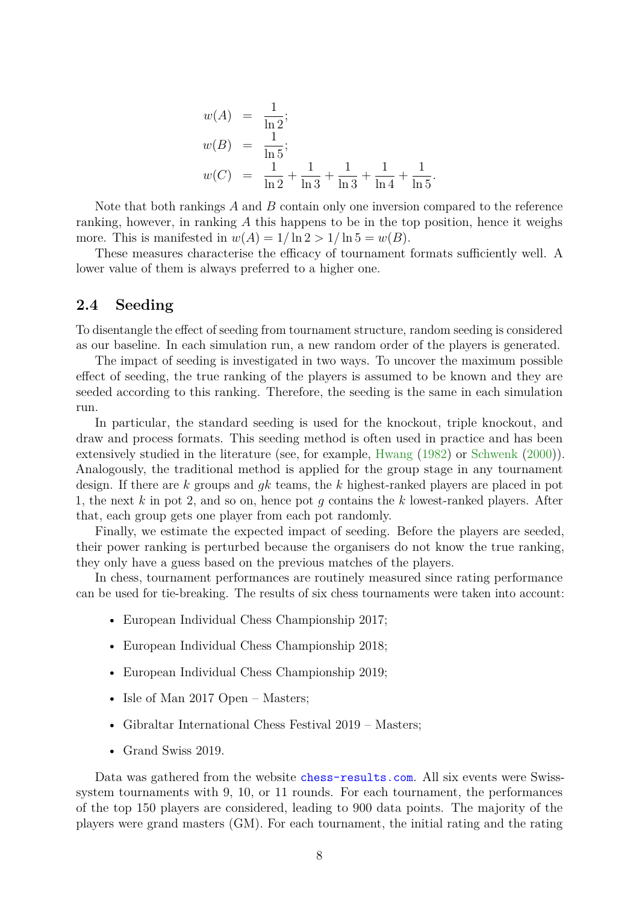$$
w(A) = \frac{1}{\ln 2};
$$
  
\n
$$
w(B) = \frac{1}{\ln 5};
$$
  
\n
$$
w(C) = \frac{1}{\ln 2} + \frac{1}{\ln 3} + \frac{1}{\ln 3} + \frac{1}{\ln 4} + \frac{1}{\ln 5}.
$$

Note that both rankings  $A$  and  $B$  contain only one inversion compared to the reference ranking, however, in ranking  $A$  this happens to be in the top position, hence it weighs more. This is manifested in  $w(A) = 1/\ln 2 > 1/\ln 5 = w(B)$ .

These measures characterise the efficacy of tournament formats sufficiently well. A lower value of them is always preferred to a higher one.

### **2.4 Seeding**

To disentangle the effect of seeding from tournament structure, random seeding is considered as our baseline. In each simulation run, a new random order of the players is generated.

The impact of seeding is investigated in two ways. To uncover the maximum possible effect of seeding, the true ranking of the players is assumed to be known and they are seeded according to this ranking. Therefore, the seeding is the same in each simulation run.

In particular, the standard seeding is used for the knockout, triple knockout, and draw and process formats. This seeding method is often used in practice and has been extensively studied in the literature (see, for example, [Hwang](#page-21-5) [\(1982\)](#page-21-5) or [Schwenk](#page-23-5) [\(2000\)](#page-23-5)). Analogously, the traditional method is applied for the group stage in any tournament design. If there are  $k$  groups and  $g_k$  teams, the  $k$  highest-ranked players are placed in pot 1, the next  $k$  in pot 2, and so on, hence pot  $q$  contains the  $k$  lowest-ranked players. After that, each group gets one player from each pot randomly.

Finally, we estimate the expected impact of seeding. Before the players are seeded, their power ranking is perturbed because the organisers do not know the true ranking, they only have a guess based on the previous matches of the players.

In chess, tournament performances are routinely measured since rating performance can be used for tie-breaking. The results of six chess tournaments were taken into account:

- European Individual Chess Championship 2017;
- European Individual Chess Championship 2018;
- European Individual Chess Championship 2019;
- Isle of Man 2017 Open Masters;
- Gibraltar International Chess Festival 2019 Masters;
- Grand Swiss 2019.

Data was gathered from the website <chess-results.com>. All six events were Swisssystem tournaments with 9, 10, or 11 rounds. For each tournament, the performances of the top 150 players are considered, leading to 900 data points. The majority of the players were grand masters (GM). For each tournament, the initial rating and the rating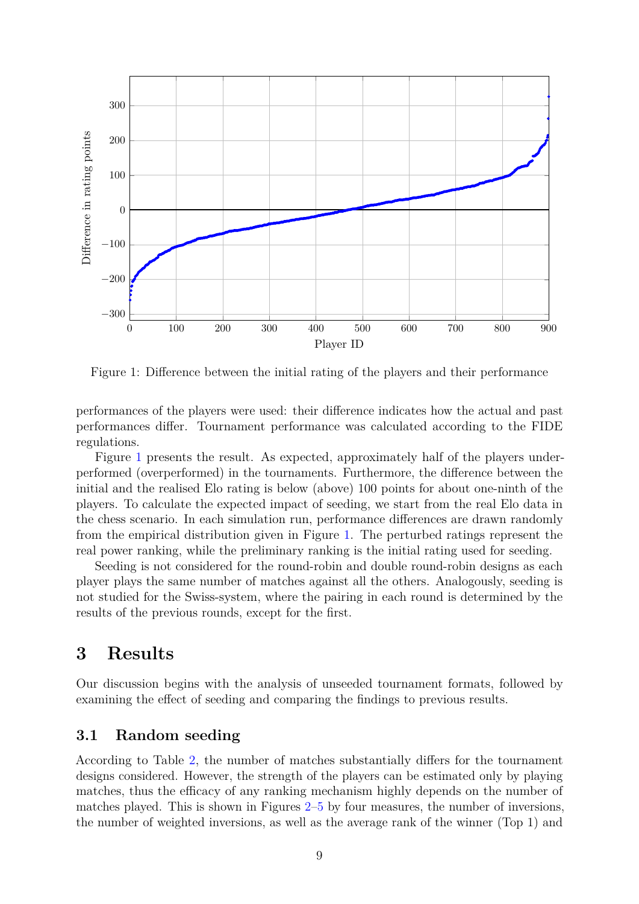<span id="page-8-0"></span>

Figure 1: Difference between the initial rating of the players and their performance

performances of the players were used: their difference indicates how the actual and past performances differ. Tournament performance was calculated according to the FIDE regulations.

Figure [1](#page-8-0) presents the result. As expected, approximately half of the players underperformed (overperformed) in the tournaments. Furthermore, the difference between the initial and the realised Elo rating is below (above) 100 points for about one-ninth of the players. To calculate the expected impact of seeding, we start from the real Elo data in the chess scenario. In each simulation run, performance differences are drawn randomly from the empirical distribution given in Figure [1.](#page-8-0) The perturbed ratings represent the real power ranking, while the preliminary ranking is the initial rating used for seeding.

Seeding is not considered for the round-robin and double round-robin designs as each player plays the same number of matches against all the others. Analogously, seeding is not studied for the Swiss-system, where the pairing in each round is determined by the results of the previous rounds, except for the first.

### **3 Results**

Our discussion begins with the analysis of unseeded tournament formats, followed by examining the effect of seeding and comparing the findings to previous results.

### **3.1 Random seeding**

According to Table [2,](#page-9-0) the number of matches substantially differs for the tournament designs considered. However, the strength of the players can be estimated only by playing matches, thus the efficacy of any ranking mechanism highly depends on the number of matches played. This is shown in Figures [2–](#page-10-0)[5](#page-13-0) by four measures, the number of inversions, the number of weighted inversions, as well as the average rank of the winner (Top 1) and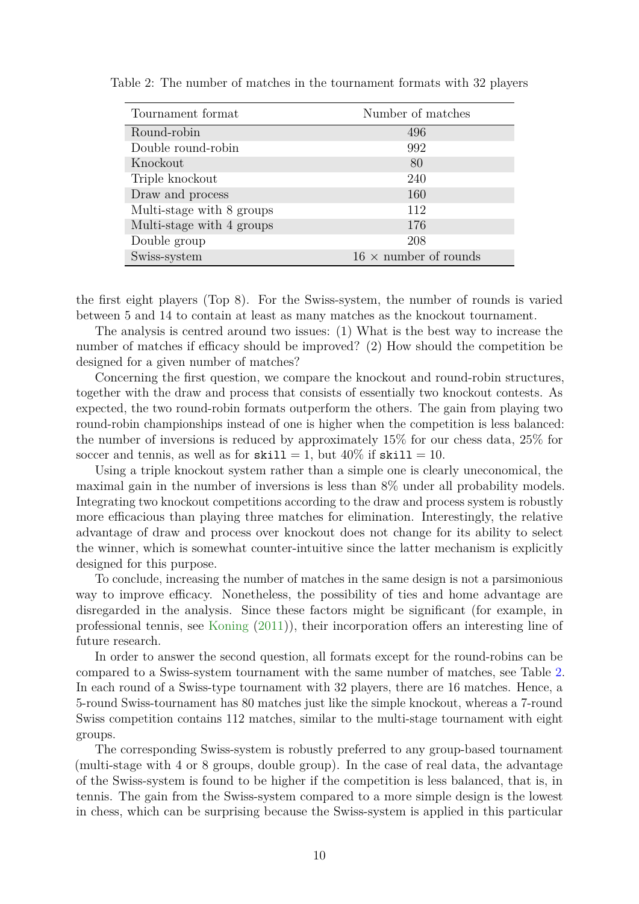| Tournament format         | Number of matches            |
|---------------------------|------------------------------|
| Round-robin               | 496                          |
| Double round-robin        | 992                          |
| Knockout                  | 80                           |
| Triple knockout           | 240                          |
| Draw and process          | 160                          |
| Multi-stage with 8 groups | 112                          |
| Multi-stage with 4 groups | 176                          |
| Double group              | 208                          |
| Swiss-system              | $16 \times$ number of rounds |

<span id="page-9-0"></span>Table 2: The number of matches in the tournament formats with 32 players

the first eight players (Top 8). For the Swiss-system, the number of rounds is varied between 5 and 14 to contain at least as many matches as the knockout tournament.

The analysis is centred around two issues: (1) What is the best way to increase the number of matches if efficacy should be improved? (2) How should the competition be designed for a given number of matches?

Concerning the first question, we compare the knockout and round-robin structures, together with the draw and process that consists of essentially two knockout contests. As expected, the two round-robin formats outperform the others. The gain from playing two round-robin championships instead of one is higher when the competition is less balanced: the number of inversions is reduced by approximately 15% for our chess data, 25% for soccer and tennis, as well as for  $\text{skill} = 1$ , but  $40\%$  if  $\text{skill} = 10$ .

Using a triple knockout system rather than a simple one is clearly uneconomical, the maximal gain in the number of inversions is less than 8% under all probability models. Integrating two knockout competitions according to the draw and process system is robustly more efficacious than playing three matches for elimination. Interestingly, the relative advantage of draw and process over knockout does not change for its ability to select the winner, which is somewhat counter-intuitive since the latter mechanism is explicitly designed for this purpose.

To conclude, increasing the number of matches in the same design is not a parsimonious way to improve efficacy. Nonetheless, the possibility of ties and home advantage are disregarded in the analysis. Since these factors might be significant (for example, in professional tennis, see [Koning](#page-22-16) [\(2011\)](#page-22-16)), their incorporation offers an interesting line of future research.

In order to answer the second question, all formats except for the round-robins can be compared to a Swiss-system tournament with the same number of matches, see Table [2.](#page-9-0) In each round of a Swiss-type tournament with 32 players, there are 16 matches. Hence, a 5-round Swiss-tournament has 80 matches just like the simple knockout, whereas a 7-round Swiss competition contains 112 matches, similar to the multi-stage tournament with eight groups.

The corresponding Swiss-system is robustly preferred to any group-based tournament (multi-stage with 4 or 8 groups, double group). In the case of real data, the advantage of the Swiss-system is found to be higher if the competition is less balanced, that is, in tennis. The gain from the Swiss-system compared to a more simple design is the lowest in chess, which can be surprising because the Swiss-system is applied in this particular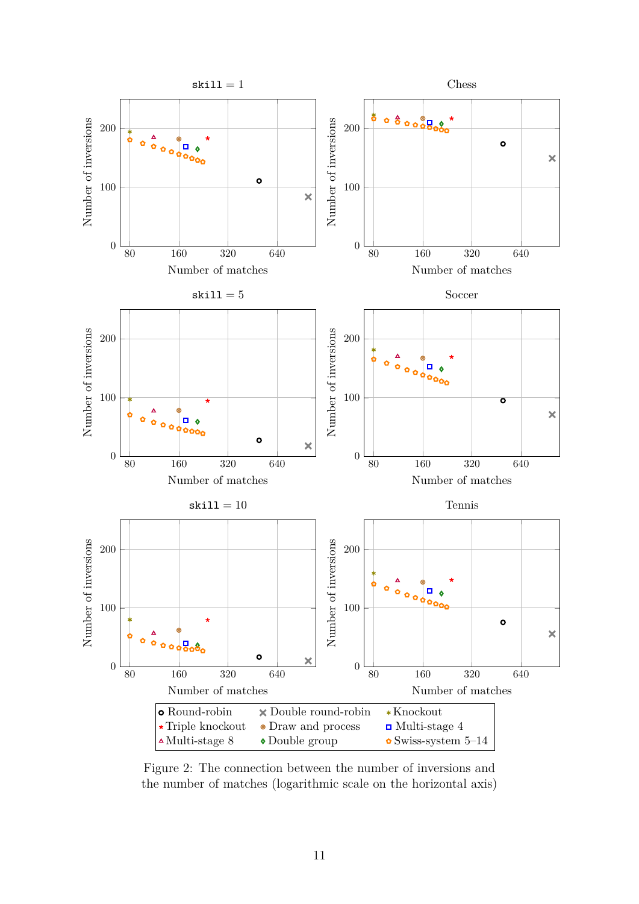<span id="page-10-0"></span>

Figure 2: The connection between the number of inversions and the number of matches (logarithmic scale on the horizontal axis)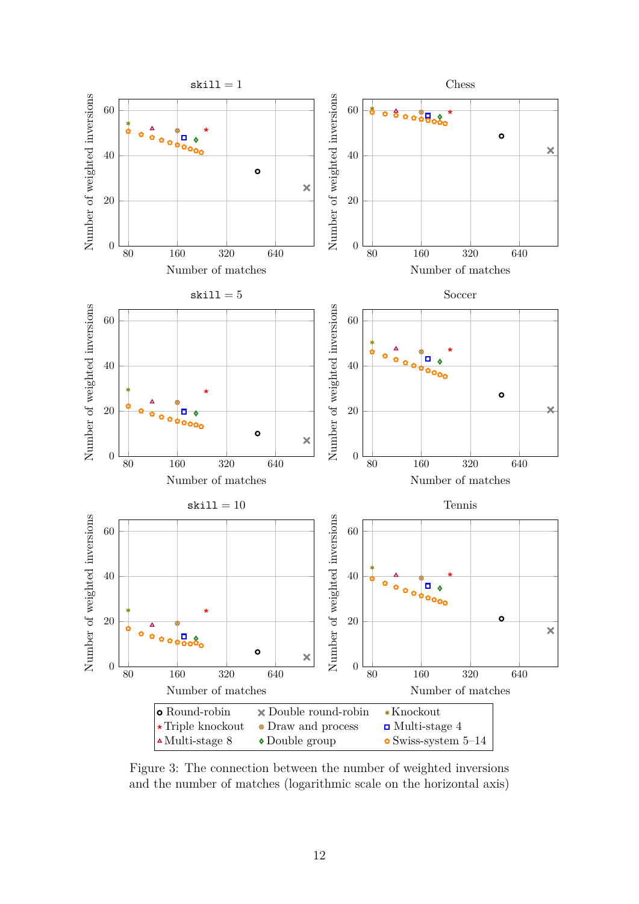

Figure 3: The connection between the number of weighted inversions and the number of matches (logarithmic scale on the horizontal axis)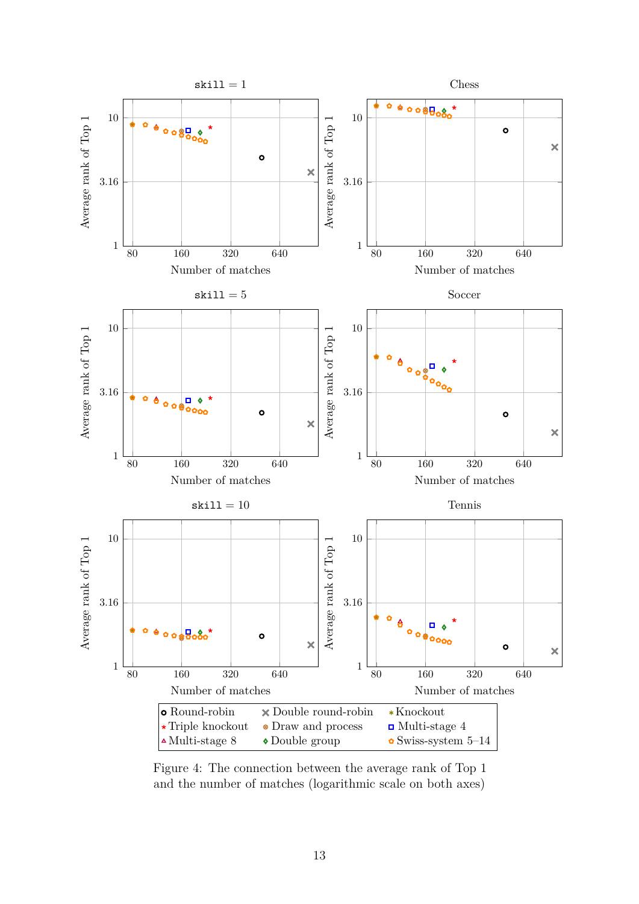<span id="page-12-0"></span>

Figure 4: The connection between the average rank of Top 1 and the number of matches (logarithmic scale on both axes)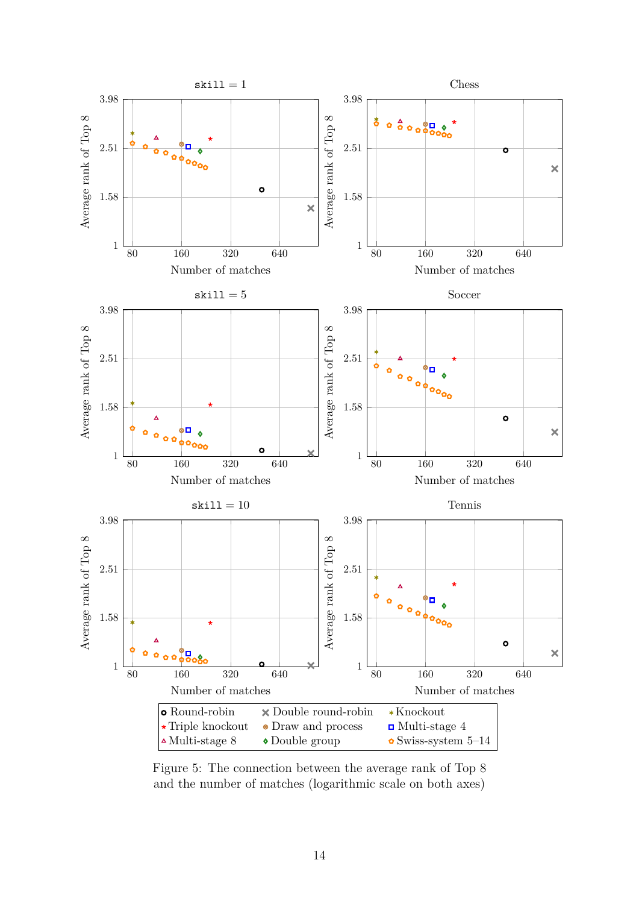<span id="page-13-0"></span>

Figure 5: The connection between the average rank of Top 8 and the number of matches (logarithmic scale on both axes)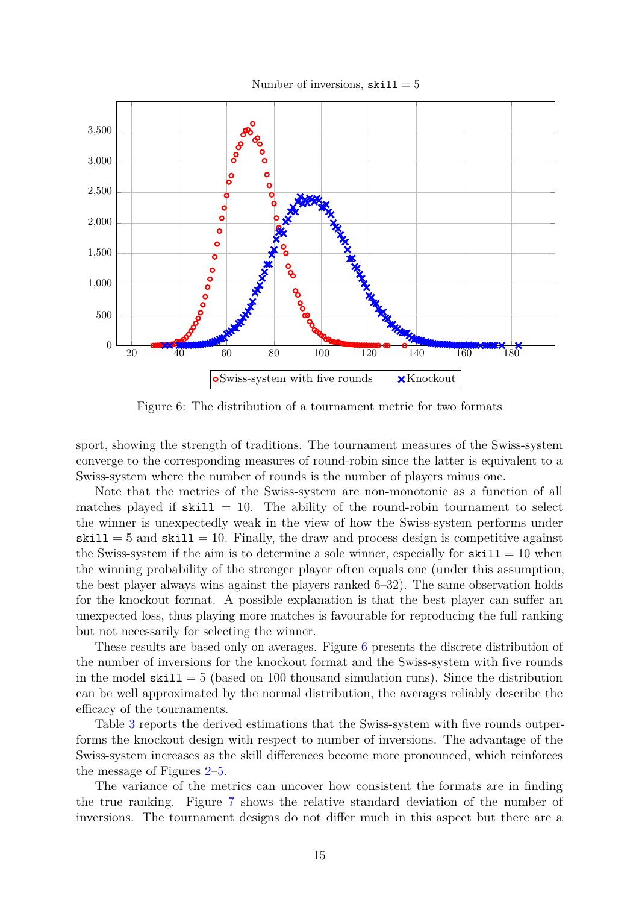

<span id="page-14-0"></span>

Figure 6: The distribution of a tournament metric for two formats

sport, showing the strength of traditions. The tournament measures of the Swiss-system converge to the corresponding measures of round-robin since the latter is equivalent to a Swiss-system where the number of rounds is the number of players minus one.

Note that the metrics of the Swiss-system are non-monotonic as a function of all matches played if  $\text{skill} = 10$ . The ability of the round-robin tournament to select the winner is unexpectedly weak in the view of how the Swiss-system performs under  $\text{skill} = 5$  and  $\text{skill} = 10$ . Finally, the draw and process design is competitive against the Swiss-system if the aim is to determine a sole winner, especially for  $\text{skill} = 10$  when the winning probability of the stronger player often equals one (under this assumption, the best player always wins against the players ranked 6–32). The same observation holds for the knockout format. A possible explanation is that the best player can suffer an unexpected loss, thus playing more matches is favourable for reproducing the full ranking but not necessarily for selecting the winner.

These results are based only on averages. Figure [6](#page-14-0) presents the discrete distribution of the number of inversions for the knockout format and the Swiss-system with five rounds in the model  $\text{skill} = 5$  (based on 100 thousand simulation runs). Since the distribution can be well approximated by the normal distribution, the averages reliably describe the efficacy of the tournaments.

Table [3](#page-15-0) reports the derived estimations that the Swiss-system with five rounds outperforms the knockout design with respect to number of inversions. The advantage of the Swiss-system increases as the skill differences become more pronounced, which reinforces the message of Figures [2–](#page-10-0)[5.](#page-13-0)

The variance of the metrics can uncover how consistent the formats are in finding the true ranking. Figure [7](#page-16-0) shows the relative standard deviation of the number of inversions. The tournament designs do not differ much in this aspect but there are a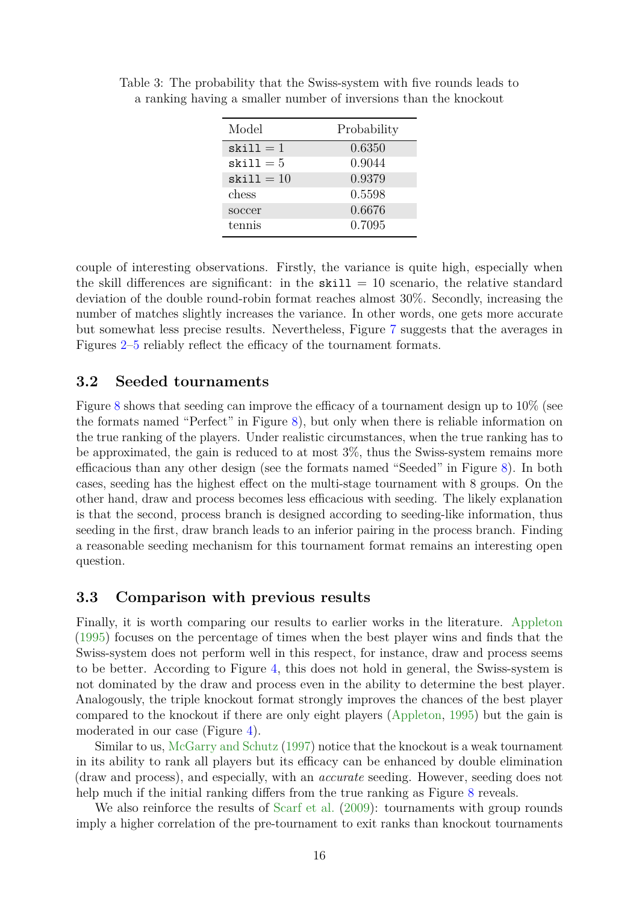| Model                 | Probability |
|-----------------------|-------------|
| $skill = 1$           | 0.6350      |
| $skill = 5$           | 0.9044      |
| $\texttt{skill} = 10$ | 0.9379      |
| chess                 | 0.5598      |
| soccer                | 0.6676      |
| tennis                | 0.7095      |

<span id="page-15-0"></span>Table 3: The probability that the Swiss-system with five rounds leads to a ranking having a smaller number of inversions than the knockout

couple of interesting observations. Firstly, the variance is quite high, especially when the skill differences are significant: in the  $\text{skill} = 10$  scenario, the relative standard deviation of the double round-robin format reaches almost 30%. Secondly, increasing the number of matches slightly increases the variance. In other words, one gets more accurate but somewhat less precise results. Nevertheless, Figure [7](#page-16-0) suggests that the averages in Figures [2](#page-10-0)[–5](#page-13-0) reliably reflect the efficacy of the tournament formats.

### **3.2 Seeded tournaments**

Figure [8](#page-17-0) shows that seeding can improve the efficacy of a tournament design up to  $10\%$  (see the formats named "Perfect" in Figure [8\)](#page-17-0), but only when there is reliable information on the true ranking of the players. Under realistic circumstances, when the true ranking has to be approximated, the gain is reduced to at most 3%, thus the Swiss-system remains more efficacious than any other design (see the formats named "Seeded" in Figure [8\)](#page-17-0). In both cases, seeding has the highest effect on the multi-stage tournament with 8 groups. On the other hand, draw and process becomes less efficacious with seeding. The likely explanation is that the second, process branch is designed according to seeding-like information, thus seeding in the first, draw branch leads to an inferior pairing in the process branch. Finding a reasonable seeding mechanism for this tournament format remains an interesting open question.

#### **3.3 Comparison with previous results**

Finally, it is worth comparing our results to earlier works in the literature. [Appleton](#page-19-6) [\(1995\)](#page-19-6) focuses on the percentage of times when the best player wins and finds that the Swiss-system does not perform well in this respect, for instance, draw and process seems to be better. According to Figure [4,](#page-12-0) this does not hold in general, the Swiss-system is not dominated by the draw and process even in the ability to determine the best player. Analogously, the triple knockout format strongly improves the chances of the best player compared to the knockout if there are only eight players [\(Appleton,](#page-19-6) [1995\)](#page-19-6) but the gain is moderated in our case (Figure [4\)](#page-12-0).

Similar to us, [McGarry and Schutz](#page-22-8) [\(1997\)](#page-22-8) notice that the knockout is a weak tournament in its ability to rank all players but its efficacy can be enhanced by double elimination (draw and process), and especially, with an *accurate* seeding. However, seeding does not help much if the initial ranking differs from the true ranking as Figure [8](#page-17-0) reveals.

We also reinforce the results of [Scarf et al.](#page-23-11)  $(2009)$ : tournaments with group rounds imply a higher correlation of the pre-tournament to exit ranks than knockout tournaments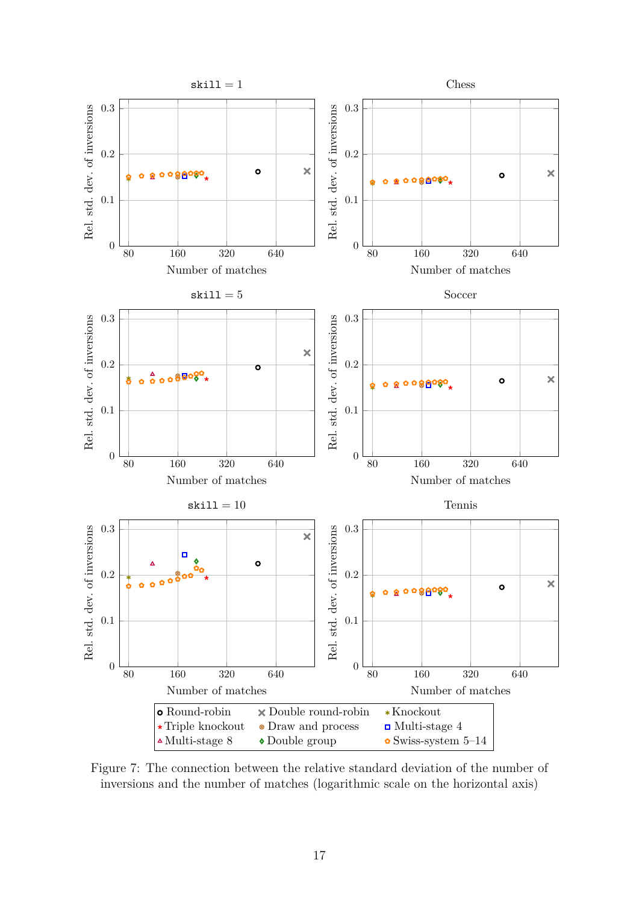<span id="page-16-0"></span>

Figure 7: The connection between the relative standard deviation of the number of inversions and the number of matches (logarithmic scale on the horizontal axis)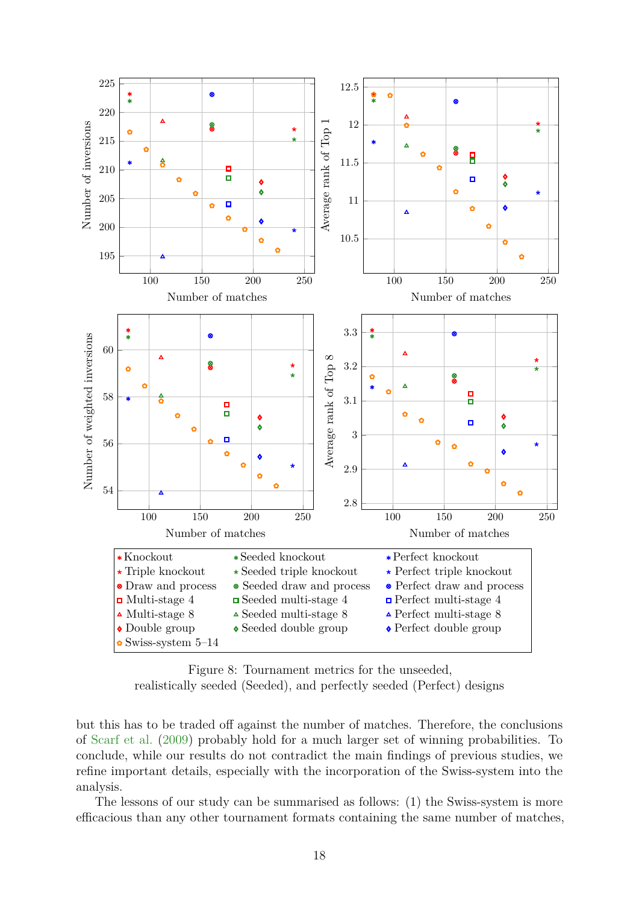<span id="page-17-0"></span>

Figure 8: Tournament metrics for the unseeded,

realistically seeded (Seeded), and perfectly seeded (Perfect) designs

but this has to be traded off against the number of matches. Therefore, the conclusions of [Scarf et al.](#page-23-11) [\(2009\)](#page-23-11) probably hold for a much larger set of winning probabilities. To conclude, while our results do not contradict the main findings of previous studies, we refine important details, especially with the incorporation of the Swiss-system into the analysis.

The lessons of our study can be summarised as follows: (1) the Swiss-system is more efficacious than any other tournament formats containing the same number of matches,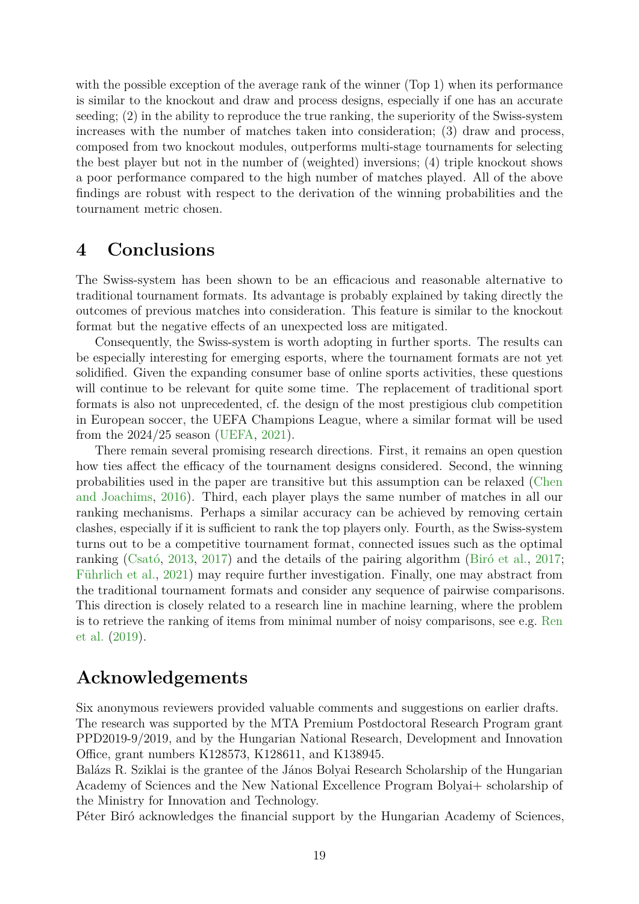with the possible exception of the average rank of the winner (Top 1) when its performance is similar to the knockout and draw and process designs, especially if one has an accurate seeding; (2) in the ability to reproduce the true ranking, the superiority of the Swiss-system increases with the number of matches taken into consideration; (3) draw and process, composed from two knockout modules, outperforms multi-stage tournaments for selecting the best player but not in the number of (weighted) inversions; (4) triple knockout shows a poor performance compared to the high number of matches played. All of the above findings are robust with respect to the derivation of the winning probabilities and the tournament metric chosen.

### **4 Conclusions**

The Swiss-system has been shown to be an efficacious and reasonable alternative to traditional tournament formats. Its advantage is probably explained by taking directly the outcomes of previous matches into consideration. This feature is similar to the knockout format but the negative effects of an unexpected loss are mitigated.

Consequently, the Swiss-system is worth adopting in further sports. The results can be especially interesting for emerging esports, where the tournament formats are not yet solidified. Given the expanding consumer base of online sports activities, these questions will continue to be relevant for quite some time. The replacement of traditional sport formats is also not unprecedented, cf. the design of the most prestigious club competition in European soccer, the UEFA Champions League, where a similar format will be used from the 2024/25 season [\(UEFA,](#page-23-16) [2021\)](#page-23-16).

There remain several promising research directions. First, it remains an open question how ties affect the efficacy of the tournament designs considered. Second, the winning probabilities used in the paper are transitive but this assumption can be relaxed [\(Chen](#page-20-14) [and Joachims,](#page-20-14) [2016\)](#page-20-14). Third, each player plays the same number of matches in all our ranking mechanisms. Perhaps a similar accuracy can be achieved by removing certain clashes, especially if it is sufficient to rank the top players only. Fourth, as the Swiss-system turns out to be a competitive tournament format, connected issues such as the optimal ranking [\(Csató,](#page-20-15) [2013,](#page-20-15) [2017\)](#page-20-16) and the details of the pairing algorithm [\(Biró et al.,](#page-19-11) [2017;](#page-19-11) [Führlich et al.,](#page-21-17) [2021\)](#page-21-17) may require further investigation. Finally, one may abstract from the traditional tournament formats and consider any sequence of pairwise comparisons. This direction is closely related to a research line in machine learning, where the problem is to retrieve the ranking of items from minimal number of noisy comparisons, see e.g. [Ren](#page-23-17) [et al.](#page-23-17) [\(2019\)](#page-23-17).

## **Acknowledgements**

Six anonymous reviewers provided valuable comments and suggestions on earlier drafts. The research was supported by the MTA Premium Postdoctoral Research Program grant PPD2019-9/2019, and by the Hungarian National Research, Development and Innovation Office, grant numbers K128573, K128611, and K138945.

Balázs R. Sziklai is the grantee of the János Bolyai Research Scholarship of the Hungarian Academy of Sciences and the New National Excellence Program Bolyai+ scholarship of the Ministry for Innovation and Technology.

Péter Biró acknowledges the financial support by the Hungarian Academy of Sciences,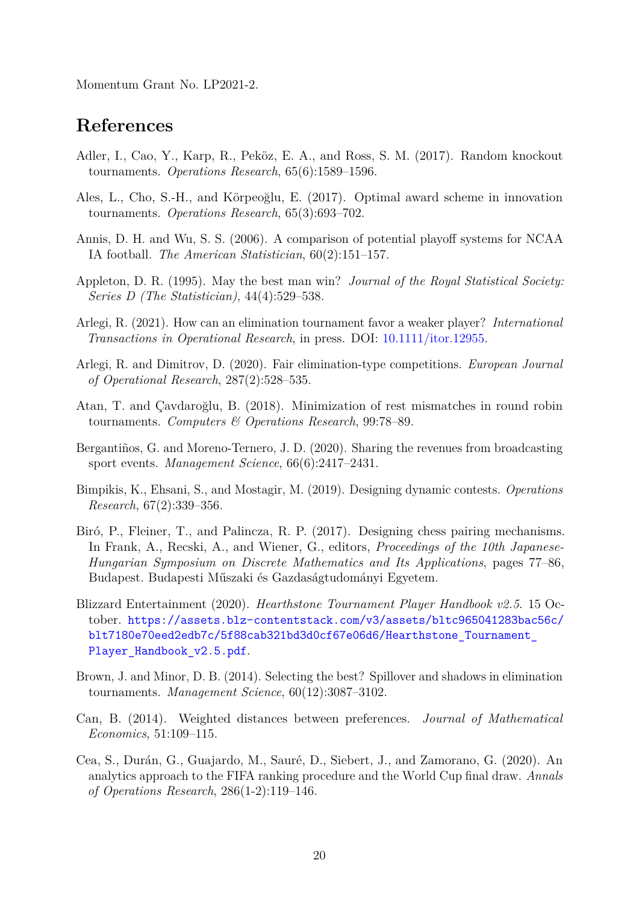Momentum Grant No. LP2021-2.

### **References**

- <span id="page-19-3"></span>Adler, I., Cao, Y., Karp, R., Peköz, E. A., and Ross, S. M. (2017). Random knockout tournaments. *Operations Research*, 65(6):1589–1596.
- <span id="page-19-2"></span>Ales, L., Cho, S.-H., and Körpeoğlu, E. (2017). Optimal award scheme in innovation tournaments. *Operations Research*, 65(3):693–702.
- <span id="page-19-7"></span>Annis, D. H. and Wu, S. S. (2006). A comparison of potential playoff systems for NCAA IA football. *The American Statistician*, 60(2):151–157.
- <span id="page-19-6"></span>Appleton, D. R. (1995). May the best man win? *Journal of the Royal Statistical Society: Series D (The Statistician)*, 44(4):529–538.
- <span id="page-19-5"></span>Arlegi, R. (2021). How can an elimination tournament favor a weaker player? *International Transactions in Operational Research*, in press. DOI: [10.1111/itor.12955.](https://doi.org/10.1111/itor.12955)
- <span id="page-19-4"></span>Arlegi, R. and Dimitrov, D. (2020). Fair elimination-type competitions. *European Journal of Operational Research*, 287(2):528–535.
- <span id="page-19-9"></span>Atan, T. and Çavdaroğlu, B. (2018). Minimization of rest mismatches in round robin tournaments. *Computers & Operations Research*, 99:78–89.
- <span id="page-19-10"></span>Bergantiños, G. and Moreno-Ternero, J. D. (2020). Sharing the revenues from broadcasting sport events. *Management Science*, 66(6):2417–2431.
- <span id="page-19-1"></span>Bimpikis, K., Ehsani, S., and Mostagir, M. (2019). Designing dynamic contests. *Operations Research*, 67(2):339–356.
- <span id="page-19-11"></span>Biró, P., Fleiner, T., and Palincza, R. P. (2017). Designing chess pairing mechanisms. In Frank, A., Recski, A., and Wiener, G., editors, *Proceedings of the 10th Japanese-Hungarian Symposium on Discrete Mathematics and Its Applications*, pages 77–86, Budapest. Budapesti Műszaki és Gazdaságtudományi Egyetem.
- <span id="page-19-12"></span>Blizzard Entertainment (2020). *Hearthstone Tournament Player Handbook v2.5*. 15 October. [https://assets.blz-contentstack.com/v3/assets/bltc965041283bac56c/](https://assets.blz-contentstack.com/v3/assets/bltc965041283bac56c/blt7180e70eed2edb7c/5f88cab321bd3d0cf67e06d6/Hearthstone_Tournament_Player_Handbook_v2.5.pdf) [blt7180e70eed2edb7c/5f88cab321bd3d0cf67e06d6/Hearthstone\\_Tournament\\_](https://assets.blz-contentstack.com/v3/assets/bltc965041283bac56c/blt7180e70eed2edb7c/5f88cab321bd3d0cf67e06d6/Hearthstone_Tournament_Player_Handbook_v2.5.pdf) Player Handbook v2.5.pdf.
- <span id="page-19-0"></span>Brown, J. and Minor, D. B. (2014). Selecting the best? Spillover and shadows in elimination tournaments. *Management Science*, 60(12):3087–3102.
- <span id="page-19-13"></span>Can, B. (2014). Weighted distances between preferences. *Journal of Mathematical Economics*, 51:109–115.
- <span id="page-19-8"></span>Cea, S., Durán, G., Guajardo, M., Sauré, D., Siebert, J., and Zamorano, G. (2020). An analytics approach to the FIFA ranking procedure and the World Cup final draw. *Annals of Operations Research*, 286(1-2):119–146.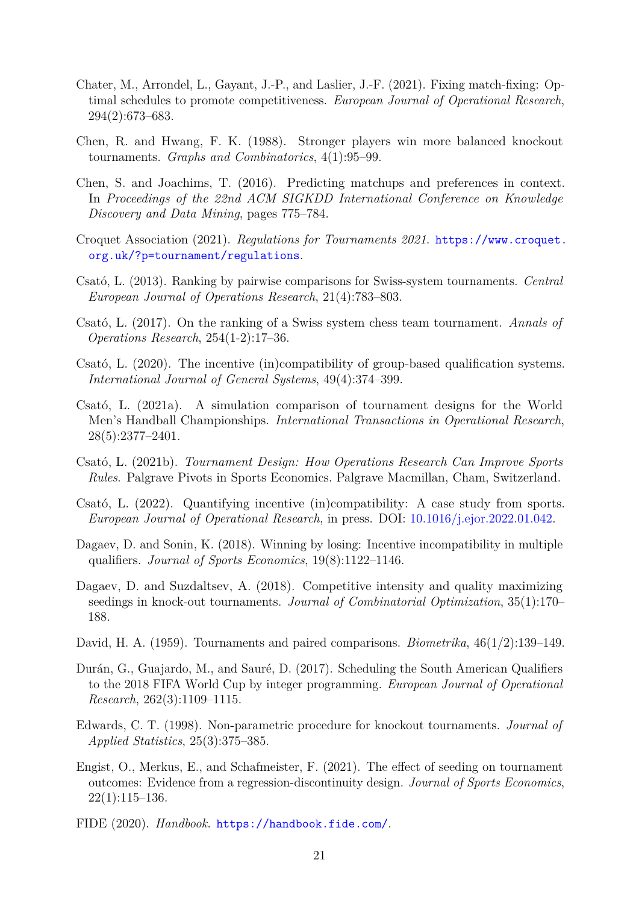- <span id="page-20-5"></span>Chater, M., Arrondel, L., Gayant, J.-P., and Laslier, J.-F. (2021). Fixing match-fixing: Optimal schedules to promote competitiveness. *European Journal of Operational Research*, 294(2):673–683.
- <span id="page-20-0"></span>Chen, R. and Hwang, F. K. (1988). Stronger players win more balanced knockout tournaments. *Graphs and Combinatorics*, 4(1):95–99.
- <span id="page-20-14"></span>Chen, S. and Joachims, T. (2016). Predicting matchups and preferences in context. In *Proceedings of the 22nd ACM SIGKDD International Conference on Knowledge Discovery and Data Mining*, pages 775–784.
- <span id="page-20-12"></span>Croquet Association (2021). *Regulations for Tournaments 2021*. [https://www.croquet.](https://www.croquet.org.uk/?p=tournament/regulations) [org.uk/?p=tournament/regulations](https://www.croquet.org.uk/?p=tournament/regulations).
- <span id="page-20-15"></span>Csató, L. (2013). Ranking by pairwise comparisons for Swiss-system tournaments. *Central European Journal of Operations Research*, 21(4):783–803.
- <span id="page-20-16"></span>Csató, L. (2017). On the ranking of a Swiss system chess team tournament. *Annals of Operations Research*, 254(1-2):17–36.
- <span id="page-20-7"></span>Csató, L. (2020). The incentive (in)compatibility of group-based qualification systems. *International Journal of General Systems*, 49(4):374–399.
- <span id="page-20-4"></span>Csató, L. (2021a). A simulation comparison of tournament designs for the World Men's Handball Championships. *International Transactions in Operational Research*, 28(5):2377–2401.
- <span id="page-20-8"></span>Csató, L. (2021b). *Tournament Design: How Operations Research Can Improve Sports Rules*. Palgrave Pivots in Sports Economics. Palgrave Macmillan, Cham, Switzerland.
- <span id="page-20-9"></span>Csató, L. (2022). Quantifying incentive (in)compatibility: A case study from sports. *European Journal of Operational Research*, in press. DOI: [10.1016/j.ejor.2022.01.042.](https://doi.org/10.1016/j.ejor.2022.01.042)
- <span id="page-20-10"></span>Dagaev, D. and Sonin, K. (2018). Winning by losing: Incentive incompatibility in multiple qualifiers. *Journal of Sports Economics*, 19(8):1122–1146.
- <span id="page-20-2"></span>Dagaev, D. and Suzdaltsev, A. (2018). Competitive intensity and quality maximizing seedings in knock-out tournaments. *Journal of Combinatorial Optimization*, 35(1):170– 188.
- <span id="page-20-3"></span>David, H. A. (1959). Tournaments and paired comparisons. *Biometrika*, 46(1/2):139–149.
- <span id="page-20-6"></span>Durán, G., Guajardo, M., and Sauré, D. (2017). Scheduling the South American Qualifiers to the 2018 FIFA World Cup by integer programming. *European Journal of Operational Research*, 262(3):1109–1115.
- <span id="page-20-1"></span>Edwards, C. T. (1998). Non-parametric procedure for knockout tournaments. *Journal of Applied Statistics*, 25(3):375–385.
- <span id="page-20-11"></span>Engist, O., Merkus, E., and Schafmeister, F. (2021). The effect of seeding on tournament outcomes: Evidence from a regression-discontinuity design. *Journal of Sports Economics*,  $22(1):115–136.$
- <span id="page-20-13"></span>FIDE (2020). *Handbook*. <https://handbook.fide.com/>.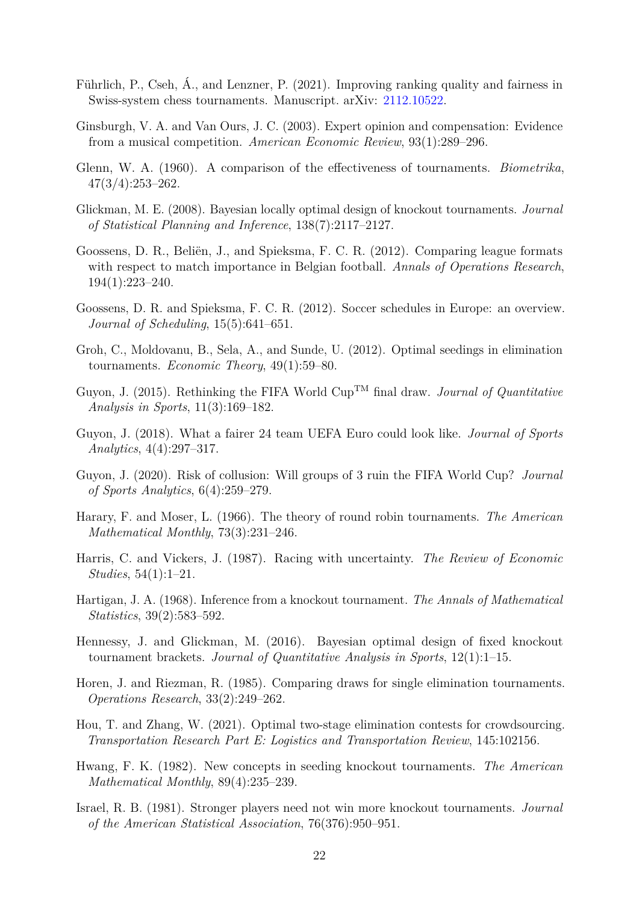- <span id="page-21-17"></span>Führlich, P., Cseh, Á., and Lenzner, P. (2021). Improving ranking quality and fairness in Swiss-system chess tournaments. Manuscript. arXiv: [2112.10522.](https://arxiv.org/abs/2112.10522)
- <span id="page-21-2"></span>Ginsburgh, V. A. and Van Ours, J. C. (2003). Expert opinion and compensation: Evidence from a musical competition. *American Economic Review*, 93(1):289–296.
- <span id="page-21-11"></span>Glenn, W. A. (1960). A comparison of the effectiveness of tournaments. *Biometrika*, 47(3/4):253–262.
- <span id="page-21-7"></span>Glickman, M. E. (2008). Bayesian locally optimal design of knockout tournaments. *Journal of Statistical Planning and Inference*, 138(7):2117–2127.
- <span id="page-21-12"></span>Goossens, D. R., Beliën, J., and Spieksma, F. C. R. (2012). Comparing league formats with respect to match importance in Belgian football. *Annals of Operations Research*, 194(1):223–240.
- <span id="page-21-13"></span>Goossens, D. R. and Spieksma, F. C. R. (2012). Soccer schedules in Europe: an overview. *Journal of Scheduling*, 15(5):641–651.
- <span id="page-21-8"></span>Groh, C., Moldovanu, B., Sela, A., and Sunde, U. (2012). Optimal seedings in elimination tournaments. *Economic Theory*, 49(1):59–80.
- <span id="page-21-14"></span>Guyon, J. (2015). Rethinking the FIFA World CupTM final draw. *Journal of Quantitative Analysis in Sports*, 11(3):169–182.
- <span id="page-21-15"></span>Guyon, J. (2018). What a fairer 24 team UEFA Euro could look like. *Journal of Sports Analytics*, 4(4):297–317.
- <span id="page-21-16"></span>Guyon, J. (2020). Risk of collusion: Will groups of 3 ruin the FIFA World Cup? *Journal of Sports Analytics*, 6(4):259–279.
- <span id="page-21-10"></span>Harary, F. and Moser, L. (1966). The theory of round robin tournaments. *The American Mathematical Monthly*, 73(3):231–246.
- <span id="page-21-1"></span>Harris, C. and Vickers, J. (1987). Racing with uncertainty. *The Review of Economic Studies*, 54(1):1–21.
- <span id="page-21-3"></span>Hartigan, J. A. (1968). Inference from a knockout tournament. *The Annals of Mathematical Statistics*, 39(2):583–592.
- <span id="page-21-9"></span>Hennessy, J. and Glickman, M. (2016). Bayesian optimal design of fixed knockout tournament brackets. *Journal of Quantitative Analysis in Sports*, 12(1):1–15.
- <span id="page-21-6"></span>Horen, J. and Riezman, R. (1985). Comparing draws for single elimination tournaments. *Operations Research*, 33(2):249–262.
- <span id="page-21-0"></span>Hou, T. and Zhang, W. (2021). Optimal two-stage elimination contests for crowdsourcing. *Transportation Research Part E: Logistics and Transportation Review*, 145:102156.
- <span id="page-21-5"></span>Hwang, F. K. (1982). New concepts in seeding knockout tournaments. *The American Mathematical Monthly*, 89(4):235–239.
- <span id="page-21-4"></span>Israel, R. B. (1981). Stronger players need not win more knockout tournaments. *Journal of the American Statistical Association*, 76(376):950–951.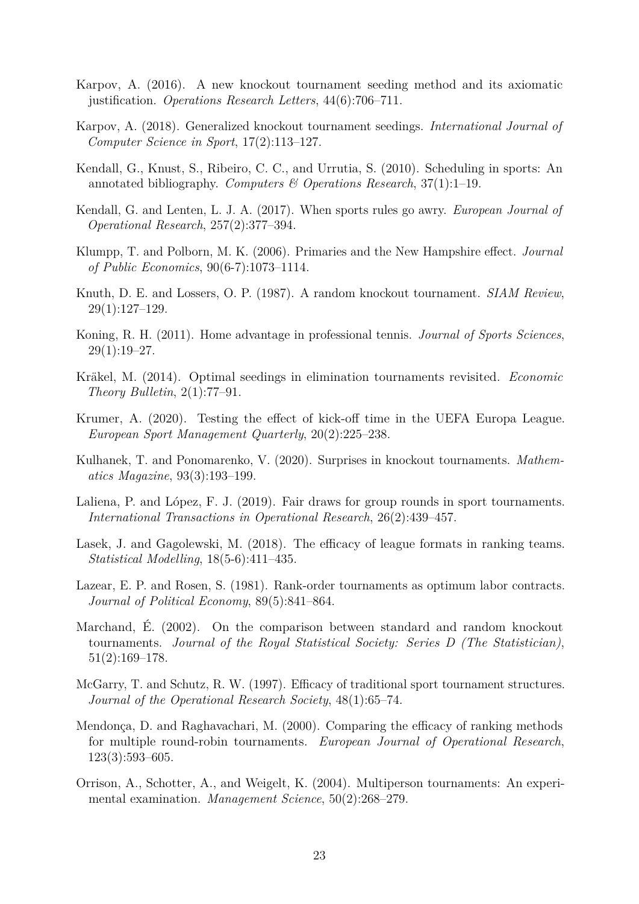- <span id="page-22-5"></span>Karpov, A. (2016). A new knockout tournament seeding method and its axiomatic justification. *Operations Research Letters*, 44(6):706–711.
- <span id="page-22-6"></span>Karpov, A. (2018). Generalized knockout tournament seedings. *International Journal of Computer Science in Sport*, 17(2):113–127.
- <span id="page-22-12"></span>Kendall, G., Knust, S., Ribeiro, C. C., and Urrutia, S. (2010). Scheduling in sports: An annotated bibliography. *Computers & Operations Research*, 37(1):1–19.
- <span id="page-22-13"></span>Kendall, G. and Lenten, L. J. A. (2017). When sports rules go awry. *European Journal of Operational Research*, 257(2):377–394.
- <span id="page-22-2"></span>Klumpp, T. and Polborn, M. K. (2006). Primaries and the New Hampshire effect. *Journal of Public Economics*, 90(6-7):1073–1114.
- <span id="page-22-3"></span>Knuth, D. E. and Lossers, O. P. (1987). A random knockout tournament. *SIAM Review*, 29(1):127–129.
- <span id="page-22-16"></span>Koning, R. H. (2011). Home advantage in professional tennis. *Journal of Sports Sciences*,  $29(1):19-27.$
- <span id="page-22-4"></span>Kräkel, M. (2014). Optimal seedings in elimination tournaments revisited. *Economic Theory Bulletin*, 2(1):77–91.
- <span id="page-22-15"></span>Krumer, A. (2020). Testing the effect of kick-off time in the UEFA Europa League. *European Sport Management Quarterly*, 20(2):225–238.
- <span id="page-22-7"></span>Kulhanek, T. and Ponomarenko, V. (2020). Surprises in knockout tournaments. *Mathematics Magazine*, 93(3):193–199.
- <span id="page-22-14"></span>Laliena, P. and López, F. J. (2019). Fair draws for group rounds in sport tournaments. *International Transactions in Operational Research*, 26(2):439–457.
- <span id="page-22-11"></span>Lasek, J. and Gagolewski, M. (2018). The efficacy of league formats in ranking teams. *Statistical Modelling*, 18(5-6):411–435.
- <span id="page-22-0"></span>Lazear, E. P. and Rosen, S. (1981). Rank-order tournaments as optimum labor contracts. *Journal of Political Economy*, 89(5):841–864.
- <span id="page-22-10"></span>Marchand, É. (2002). On the comparison between standard and random knockout tournaments. *Journal of the Royal Statistical Society: Series D (The Statistician)*, 51(2):169–178.
- <span id="page-22-8"></span>McGarry, T. and Schutz, R. W. (1997). Efficacy of traditional sport tournament structures. *Journal of the Operational Research Society*, 48(1):65–74.
- <span id="page-22-9"></span>Mendonça, D. and Raghavachari, M. (2000). Comparing the efficacy of ranking methods for multiple round-robin tournaments. *European Journal of Operational Research*, 123(3):593–605.
- <span id="page-22-1"></span>Orrison, A., Schotter, A., and Weigelt, K. (2004). Multiperson tournaments: An experimental examination. *Management Science*, 50(2):268–279.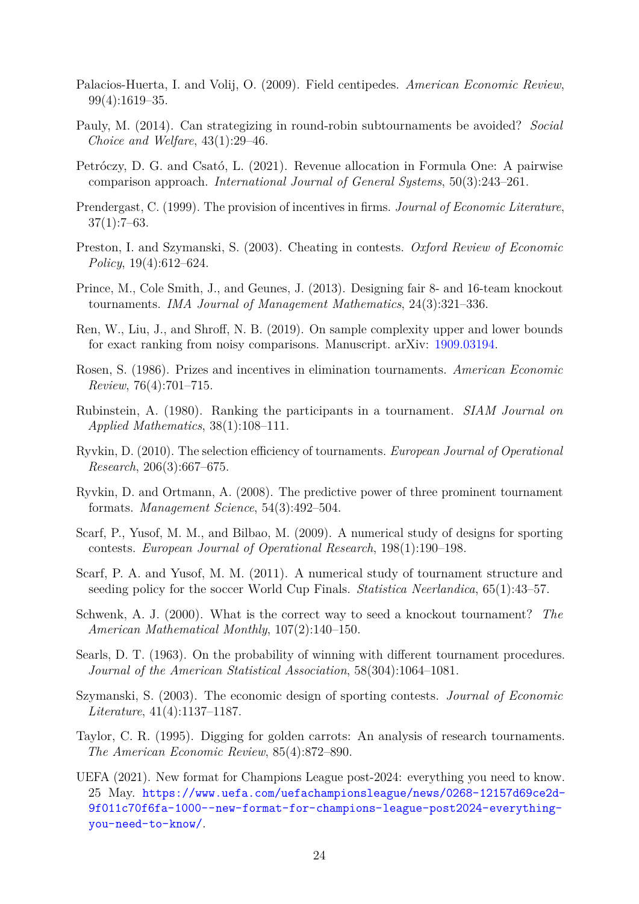- <span id="page-23-4"></span>Palacios-Huerta, I. and Volij, O. (2009). Field centipedes. *American Economic Review*, 99(4):1619–35.
- <span id="page-23-13"></span>Pauly, M. (2014). Can strategizing in round-robin subtournaments be avoided? *Social Choice and Welfare*, 43(1):29–46.
- <span id="page-23-15"></span>Petróczy, D. G. and Csató, L. (2021). Revenue allocation in Formula One: A pairwise comparison approach. *International Journal of General Systems*, 50(3):243–261.
- <span id="page-23-2"></span>Prendergast, C. (1999). The provision of incentives in firms. *Journal of Economic Literature*,  $37(1):7–63.$
- <span id="page-23-14"></span>Preston, I. and Szymanski, S. (2003). Cheating in contests. *Oxford Review of Economic Policy*, 19(4):612–624.
- <span id="page-23-6"></span>Prince, M., Cole Smith, J., and Geunes, J. (2013). Designing fair 8- and 16-team knockout tournaments. *IMA Journal of Management Mathematics*, 24(3):321–336.
- <span id="page-23-17"></span>Ren, W., Liu, J., and Shroff, N. B. (2019). On sample complexity upper and lower bounds for exact ranking from noisy comparisons. Manuscript. arXiv: [1909.03194.](https://arxiv.org/abs/1909.03194)
- <span id="page-23-0"></span>Rosen, S. (1986). Prizes and incentives in elimination tournaments. *American Economic Review*, 76(4):701–715.
- <span id="page-23-7"></span>Rubinstein, A. (1980). Ranking the participants in a tournament. *SIAM Journal on Applied Mathematics*, 38(1):108–111.
- <span id="page-23-10"></span>Ryvkin, D. (2010). The selection efficiency of tournaments. *European Journal of Operational Research*, 206(3):667–675.
- <span id="page-23-9"></span>Ryvkin, D. and Ortmann, A. (2008). The predictive power of three prominent tournament formats. *Management Science*, 54(3):492–504.
- <span id="page-23-11"></span>Scarf, P., Yusof, M. M., and Bilbao, M. (2009). A numerical study of designs for sporting contests. *European Journal of Operational Research*, 198(1):190–198.
- <span id="page-23-12"></span>Scarf, P. A. and Yusof, M. M. (2011). A numerical study of tournament structure and seeding policy for the soccer World Cup Finals. *Statistica Neerlandica*, 65(1):43–57.
- <span id="page-23-5"></span>Schwenk, A. J. (2000). What is the correct way to seed a knockout tournament? *The American Mathematical Monthly*, 107(2):140–150.
- <span id="page-23-8"></span>Searls, D. T. (1963). On the probability of winning with different tournament procedures. *Journal of the American Statistical Association*, 58(304):1064–1081.
- <span id="page-23-3"></span>Szymanski, S. (2003). The economic design of sporting contests. *Journal of Economic Literature*, 41(4):1137–1187.
- <span id="page-23-1"></span>Taylor, C. R. (1995). Digging for golden carrots: An analysis of research tournaments. *The American Economic Review*, 85(4):872–890.
- <span id="page-23-16"></span>UEFA (2021). New format for Champions League post-2024: everything you need to know. 25 May. [https://www.uefa.com/uefachampionsleague/news/0268-12157d69ce2d-](https://www.uefa.com/uefachampionsleague/news/0268-12157d69ce2d-9f011c70f6fa-1000--new-format-for-champions-league-post2024-everything-you-need-to-know/)[9f011c70f6fa-1000--new-format-for-champions-league-post2024-everything](https://www.uefa.com/uefachampionsleague/news/0268-12157d69ce2d-9f011c70f6fa-1000--new-format-for-champions-league-post2024-everything-you-need-to-know/)[you-need-to-know/](https://www.uefa.com/uefachampionsleague/news/0268-12157d69ce2d-9f011c70f6fa-1000--new-format-for-champions-league-post2024-everything-you-need-to-know/).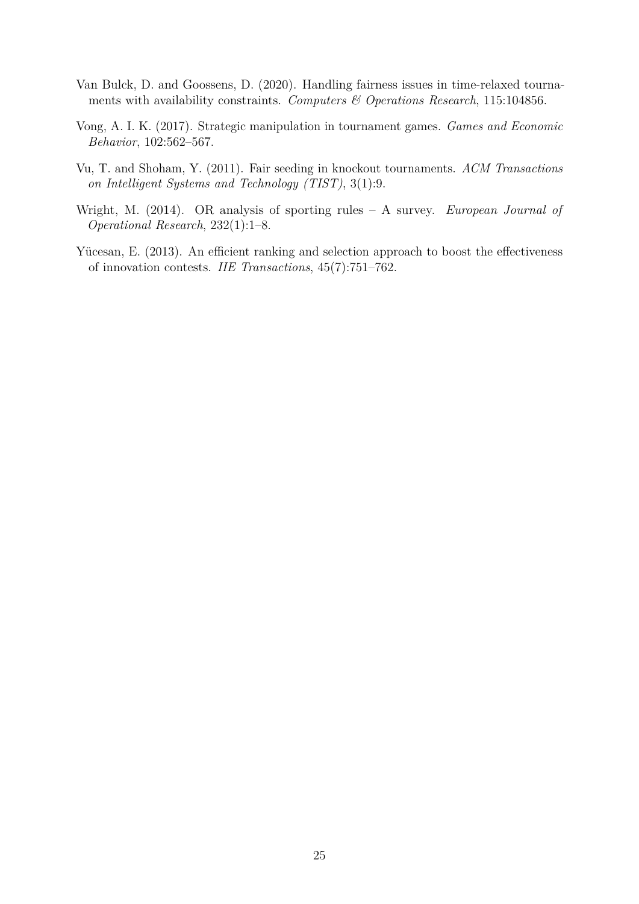- <span id="page-24-2"></span>Van Bulck, D. and Goossens, D. (2020). Handling fairness issues in time-relaxed tournaments with availability constraints. *Computers & Operations Research*, 115:104856.
- <span id="page-24-4"></span>Vong, A. I. K. (2017). Strategic manipulation in tournament games. *Games and Economic Behavior*, 102:562–567.
- <span id="page-24-1"></span>Vu, T. and Shoham, Y. (2011). Fair seeding in knockout tournaments. *ACM Transactions on Intelligent Systems and Technology (TIST)*, 3(1):9.
- <span id="page-24-3"></span>Wright, M. (2014). OR analysis of sporting rules – A survey. *European Journal of Operational Research*, 232(1):1–8.
- <span id="page-24-0"></span>Yücesan, E. (2013). An efficient ranking and selection approach to boost the effectiveness of innovation contests. *IIE Transactions*, 45(7):751–762.